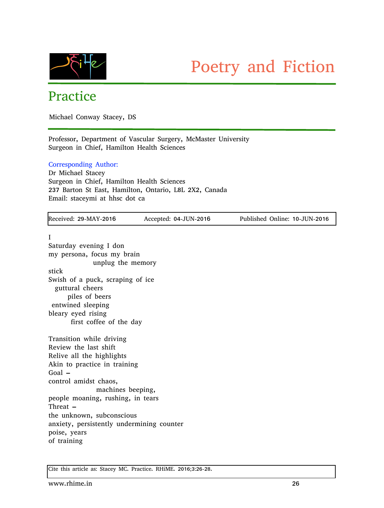

# Practice

Michael Conway Stacey, DS

Professor, Department of Vascular Surgery, McMaster University Surgeon in Chief, Hamilton Health Sciences

### Corresponding Author:

Dr Michael Stacey Surgeon in Chief, Hamilton Health Sciences 237 Barton St East, Hamilton, Ontario, L8L 2X2, Canada Email: staceymi at hhsc dot ca

| Received: 29-MAY-2016                                           | Accepted: 04-JUN-2016 | Published Online: 10-JUN-2016 |
|-----------------------------------------------------------------|-----------------------|-------------------------------|
| I                                                               |                       |                               |
| Saturday evening I don                                          |                       |                               |
| my persona, focus my brain                                      |                       |                               |
| unplug the memory                                               |                       |                               |
| stick                                                           |                       |                               |
| Swish of a puck, scraping of ice                                |                       |                               |
| guttural cheers                                                 |                       |                               |
| piles of beers                                                  |                       |                               |
| entwined sleeping                                               |                       |                               |
| bleary eyed rising                                              |                       |                               |
| first coffee of the day                                         |                       |                               |
| Transition while driving                                        |                       |                               |
| Review the last shift                                           |                       |                               |
| Relive all the highlights                                       |                       |                               |
| Akin to practice in training                                    |                       |                               |
| Goal $-$                                                        |                       |                               |
| control amidst chaos,                                           |                       |                               |
| machines beeping,                                               |                       |                               |
| people moaning, rushing, in tears                               |                       |                               |
| Threat $-$                                                      |                       |                               |
| the unknown, subconscious                                       |                       |                               |
| anxiety, persistently undermining counter                       |                       |                               |
| poise, years                                                    |                       |                               |
| of training                                                     |                       |                               |
|                                                                 |                       |                               |
| Cite this article as: Stacey MC. Practice. RHiME. 2016;3:26-28. |                       |                               |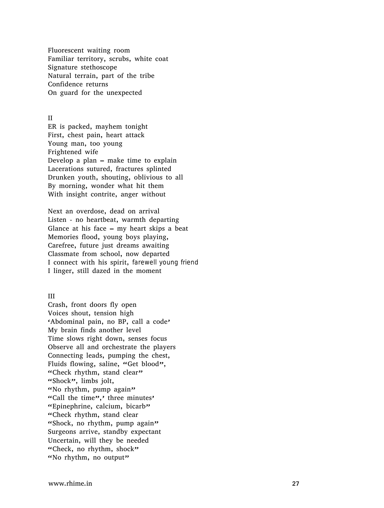Fluorescent waiting room Familiar territory, scrubs, white coat Signature stethoscope Natural terrain, part of the tribe Confidence returns On guard for the unexpected

## I

II<br>ER is packed, mayhem tonight First, chest pain, heart attack Young man, too young Frightened wife Develop a plan – make time to explain Lacerations sutured, fractures splinted Drunken youth, shouting, oblivious to all By morning, wonder what hit them With insight contrite, anger without

Next an overdose, dead on arrival Listen - no heartbeat, warmth departing Glance at his face  $-$  my heart skips a beat Memories flood, young boys playing, Carefree, future just dreams awaiting Classmate from school, now departed I connect with his spirit, farewell young friend I linger, still dazed in the moment

#### I I I

Crash, front doors fly open Voices shout, tension high 'Abdominal pain, no BP, call a code' My brain finds another level Time slows right down, senses focus Observe all and orchestrate the players Connecting leads, pumping the chest, Fluids flowing, saline, "Get blood", "Check rhythm, stand clear" "Shock", limbs jolt, "No rhythm, pump again" "Call the time",' three minutes' "Epinephrine, calcium, bicarb" "Check rhythm, stand clear "Shock, no rhythm, pump again" Surgeons arrive, standby expectant Uncertain, will they be needed "Check, no rhythm, shock" "No rhythm, no output"